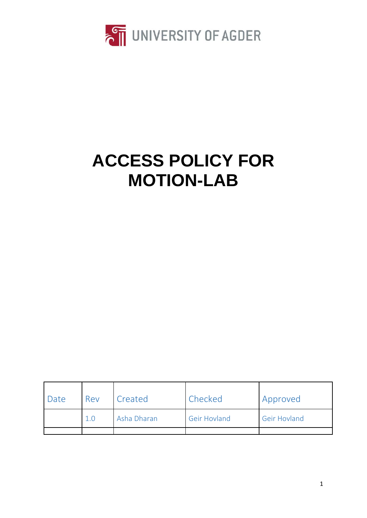

# **ACCESS POLICY FOR MOTION-LAB**

| Date | Rev | Created     | Checked             | Approved            |
|------|-----|-------------|---------------------|---------------------|
|      | 1.0 | Asha Dharan | <b>Geir Hovland</b> | <b>Geir Hovland</b> |
|      |     |             |                     |                     |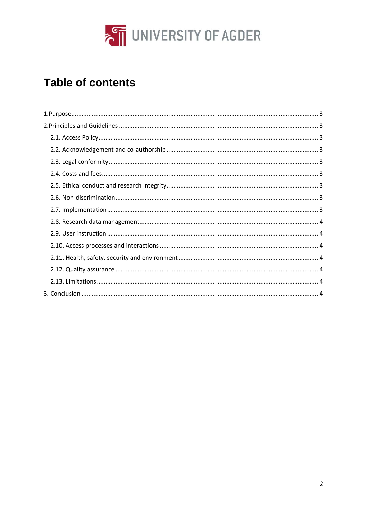

# **Table of contents**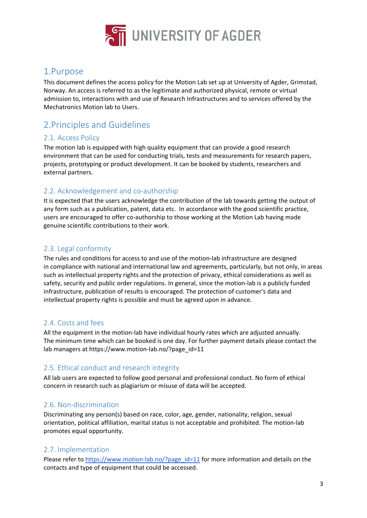

# <span id="page-2-0"></span>1.Purpose

This document defines the access policy for the Motion Lab set up at University of Agder, Grimstad, Norway. An access is referred to as the legitimate and authorized physical, remote or virtual admission to, interactions with and use of Research Infrastructures and to services offered by the Mechatronics Motion lab to Users.

# <span id="page-2-1"></span>2.Principles and Guidelines

### <span id="page-2-2"></span>2.1. Access Policy

The motion lab is equipped with high quality equipment that can provide a good research environment that can be used for conducting trials, tests and measurements for research papers, projects, prototyping or product development. It can be booked by students, researchers and external partners.

### <span id="page-2-3"></span>2.2. Acknowledgement and co-authorship

It is expected that the users acknowledge the contribution of the lab towards getting the output of any form such as a publication, patent, data etc. In accordance with the good scientific practice, users are encouraged to offer co-authorship to those working at the Motion Lab having made genuine scientific contributions to their work.

# <span id="page-2-4"></span>2.3. Legal conformity

The rules and conditions for access to and use of the motion-lab infrastructure are designed in compliance with national and international law and agreements, particularly, but not only, in areas such as intellectual property rights and the protection of privacy, ethical considerations as well as safety, security and public order regulations. In general, since the motion-lab is a publicly funded infrastructure, publication of results is encouraged. The protection of customer's data and intellectual property rights is possible and must be agreed upon in advance.

# <span id="page-2-5"></span>2.4. Costs and fees

All the equipment in the motion-lab have individual hourly rates which are adjusted annually. The minimum time which can be booked is one day. For further payment details please contact the lab managers at https://www.motion-lab.no/?page\_id=11

#### <span id="page-2-6"></span>2.5. Ethical conduct and research integrity

All lab users are expected to follow good personal and professional conduct. No form of ethical concern in research such as plagiarism or misuse of data will be accepted.

# <span id="page-2-7"></span>2.6. Non-discrimination

Discriminating any person(s) based on race, color, age, gender, nationality, religion, sexual orientation, political affiliation, marital status is not acceptable and prohibited. The motion-lab promotes equal opportunity.

# <span id="page-2-8"></span>2.7. Implementation

Please refer t[o https://www.motion-lab.no/?page\\_id=11](https://www.motion-lab.no/?page_id=11) for more information and details on the contacts and type of equipment that could be accessed.